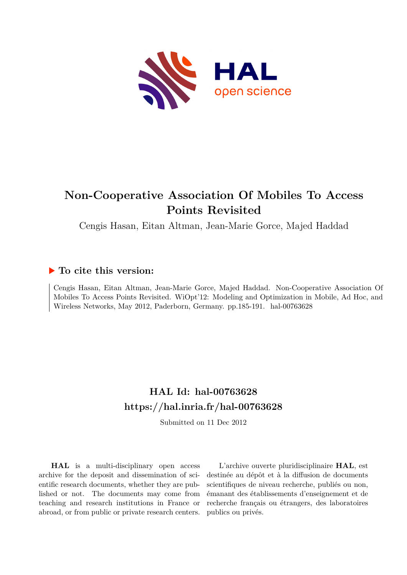

# **Non-Cooperative Association Of Mobiles To Access Points Revisited**

Cengis Hasan, Eitan Altman, Jean-Marie Gorce, Majed Haddad

## **To cite this version:**

Cengis Hasan, Eitan Altman, Jean-Marie Gorce, Majed Haddad. Non-Cooperative Association Of Mobiles To Access Points Revisited. WiOpt'12: Modeling and Optimization in Mobile, Ad Hoc, and Wireless Networks, May 2012, Paderborn, Germany. pp.185-191. hal-00763628

## **HAL Id: hal-00763628 <https://hal.inria.fr/hal-00763628>**

Submitted on 11 Dec 2012

**HAL** is a multi-disciplinary open access archive for the deposit and dissemination of scientific research documents, whether they are published or not. The documents may come from teaching and research institutions in France or abroad, or from public or private research centers.

L'archive ouverte pluridisciplinaire **HAL**, est destinée au dépôt et à la diffusion de documents scientifiques de niveau recherche, publiés ou non, émanant des établissements d'enseignement et de recherche français ou étrangers, des laboratoires publics ou privés.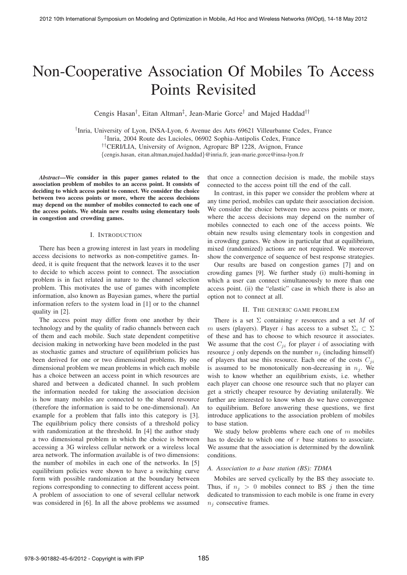# Non-Cooperative Association Of Mobiles To Access Points Revisited

Cengis Hasan<sup>†</sup>, Eitan Altman<sup>‡</sup>, Jean-Marie Gorce<sup>†</sup> and Majed Haddad<sup>††</sup>

† Inria, University of Lyon, INSA-Lyon, 6 Avenue des Arts 69621 Villeurbanne Cedex, France ‡ Inria, 2004 Route des Lucioles, 06902 Sophia-Antipolis Cedex, France ††CERI/LIA, University of Avignon, Agroparc BP 1228, Avignon, France {cengis.hasan, eitan.altman,majed.haddad}@inria.fr, jean-marie.gorce@insa-lyon.fr

*Abstract*—We consider in this paper games related to the association problem of mobiles to an access point. It consists of deciding to which access point to connect. We consider the choice between two access points or more, where the access decisions may depend on the number of mobiles connected to each one of the access points. We obtain new results using elementary tools in congestion and crowding games.

#### I. INTRODUCTION

There has been a growing interest in last years in modeling access decisions to networks as non-competitive games. Indeed, it is quite frequent that the network leaves it to the user to decide to which access point to connect. The association problem is in fact related in nature to the channel selection problem. This motivates the use of games with incomplete information, also known as Bayesian games, where the partial information refers to the system load in [1] or to the channel quality in [2].

The access point may differ from one another by their technology and by the quality of radio channels between each of them and each mobile. Such state dependent competitive decision making in networking have been modeled in the past as stochastic games and structure of equilibrium policies has been derived for one or two dimensional problems. By one dimensional problem we mean problems in which each mobile has a choice between an access point in which resources are shared and between a dedicated channel. In such problem the information needed for taking the association decision is how many mobiles are connected to the shared resource (therefore the information is said to be one-dimensional). An example for a problem that falls into this category is [3]. The equilibrium policy there consists of a threshold policy with randomization at the threshold. In [4] the author study a two dimensional problem in which the choice is between accessing a 3G wireless cellular network or a wireless local area network. The information available is of two dimensions: the number of mobiles in each one of the networks. In [5] equilibrium policies were shown to have a switching curve form with possible randomization at the boundary between regions corresponding to connecting to different access point. A problem of association to one of several cellular network was considered in [6]. In all the above problems we assumed

that once a connection decision is made, the mobile stays connected to the access point till the end of the call.

In contrast, in this paper we consider the problem where at any time period, mobiles can update their association decision. We consider the choice between two access points or more, where the access decisions may depend on the number of mobiles connected to each one of the access points. We obtain new results using elementary tools in congestion and in crowding games. We show in particular that at equilibrium, mixed (randomized) actions are not required. We moreover show the convergence of sequence of best response strategies.

Our results are based on congestion games [7] and on crowding games [9]. We further study (i) multi-homing in which a user can connect simultaneously to more than one access point. (ii) the "elastic" case in which there is also an option not to connect at all.

## II. THE GENERIC GAME PROBLEM

There is a set  $\Sigma$  containing r resources and a set M of m users (players). Player i has access to a subset  $\Sigma_i \subset \Sigma$ of these and has to choose to which resource it associates. We assume that the cost  $C_{ij}$  for player i of associating with resource j only depends on the number  $n_i$  (including himself) of players that use this resource. Each one of the costs  $C_{ii}$ is assumed to be monotonically non-decreasing in  $n_j$ . We wish to know whether an equilibrium exists, i.e. whether each player can choose one resource such that no player can get a strictly cheaper resource by deviating unilaterally. We further are interested to know when do we have convergence to equilibrium. Before answering these questions, we first introduce applications to the association problem of mobiles to base station.

We study below problems where each one of  $m$  mobiles has to decide to which one of  $r$  base stations to associate. We assume that the association is determined by the downlink conditions.

#### *A. Association to a base station (BS): TDMA*

Mobiles are served cyclically by the BS they associate to. Thus, if  $n_j > 0$  mobiles connect to BS j then the time dedicated to transmission to each mobile is one frame in every  $n_i$  consecutive frames.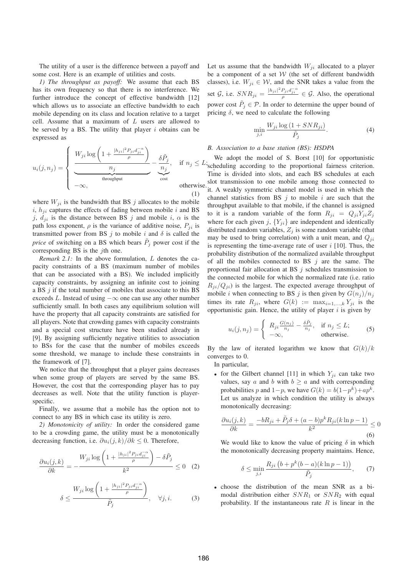The utility of a user is the difference between a payoff and some cost. Here is an example of utilities and costs.

*1) The throughput as payoff:* We assume that each BS has its own frequency so that there is no interference. We further introduce the concept of effective bandwidth [12] which allows us to associate an effective bandwidth to each mobile depending on its class and location relative to a target cell. Assume that a maximum of  $L$  users are allowed to be served by a BS. The utility that player  $i$  obtains can be expressed as

$$
u_i(j, n_j) = \begin{cases} \frac{W_{ji} \log \left(1 + \frac{|h_{ji}|^2 P_{ji} d_{ji}^{-\alpha}}{\rho}\right)}{n_j} - \frac{\delta \tilde{P}_j}{n_j}, & \text{if } n_j \leq L; \\ \frac{n_j}{\text{throughput}} & \text{cost} \\ -\infty, & \text{otherwise.} \end{cases}
$$

where  $W_{ji}$  is the bandwidth that BS j allocates to the mobile  $i, h_{ji}$  captures the effects of fading between mobile i and BS j,  $d_{ji}$  is the distance between BS j and mobile i,  $\alpha$  is the path loss exponent,  $\rho$  is the variance of additive noise,  $P_{ji}$  is transmitted power from BS  $j$  to mobile  $i$  and  $\delta$  is called the *price* of switching on a BS which bears  $\tilde{P}_j$  power cost if the corresponding BS is the  $i$ th one.

*Remark 2.1:* In the above formulation, L denotes the capacity constraints of a BS (maximum number of mobiles that can be associated with a BS). We included implicitly capacity constraints, by assigning an infinite cost to joining a BS  $j$  if the total number of mobiles that associate to this BS exceeds L. Instead of using  $-\infty$  one can use any other number sufficiently small. In both cases any equilibrium solution will have the property that all capacity constraints are satisfied for all players. Note that crowding games with capacity constraints and a special cost structure have been studied already in [9]. By assigning sufficiently negative utilities to association to BSs for the case that the number of mobiles exceeds some threshold, we manage to include these constraints in the framework of [7].

We notice that the throughput that a player gains decreases when some group of players are served by the same BS. However, the cost that the corresponding player has to pay decreases as well. Note that the utility function is playerspecific.

Finally, we assume that a mobile has the option not to connect to any BS in which case its utility is zero.

*2) Monotonicity of utility:* In order the considered game to be a crowding game, the utility must be a monotonically decreasing function, i.e.  $\partial u_i(j,k)/\partial k \leq 0$ . Therefore,

$$
\frac{\partial u_i(j,k)}{\partial k} = -\frac{W_{ji}\log\left(1 + \frac{|h_{ji}|^2 P_{ji} d_{ji}^{-\alpha}}{\rho}\right) - \delta \tilde{P}_j}{k^2} \le 0 \quad (2)
$$

$$
\delta \le \frac{W_{ji}\log\left(1 + \frac{|h_{ji}|^2 P_{ji} d_{ji}^{-\alpha}}{\rho}\right)}{\tilde{P}_j}, \quad \forall j, i. \tag{3}
$$

Let us assume that the bandwidth  $W_{ji}$  allocated to a player be a component of a set  $W$  (the set of different bandwidth classes), i.e.  $W_{ji} \in \mathcal{W}$ , and the SNR takes a value from the set G, i.e.  $SNR_{ji} = \frac{|h_{ji}|^2 P_{ji} d_{ji}^{-\alpha}}{\rho} \in \mathcal{G}$ . Also, the operational power cost  $\tilde{P}_j \in \mathcal{P}$ . In order to determine the upper bound of pricing  $\delta$ , we need to calculate the following

$$
\min_{j,i} \frac{W_{ji} \log \left(1 + SNR_{ji}\right)}{\tilde{P}_j}.\tag{4}
$$

## *B. Association to a base station (BS): HSDPA*

 $,$  if  $n_j \leq L$ ; scheduling according to the proportional fairness criterion. We adopt the model of S. Borst [10] for opportunistic Time is divided into slots, and each BS schedules at each slot transmission to one mobile among those connected to se. Solut dansmission to one and the set of the set of the set of the set of the set of the set of the set of the set of the set of the set of the set of the set of the set of the set of the set of the set of the set of th channel statistics from BS  $j$  to mobile  $i$  are such that the throughput available to that mobile, if the channel is assigned to it is a random variable of the form  $R_{ii} = Q_{ii}Y_{ii}Z_i$ where for each given j,  ${Y_{ji}}$  are independent and identically distributed random variables,  $Z_j$  is some random variable (that may be used to bring correlation) with a unit mean, and  $Q_{ji}$ is representing the time-average rate of user  $i$  [10]. Thus, the probability distribution of the normalized available throughput of all the mobiles connected to BS  $j$  are the same. The proportional fair allocation at BS  $j$  schedules transmission to the connected mobile for which the normalized rate (i.e. ratio  $R_{ji}/Q_{ji}$ ) is the largest. The expected average throughput of mobile *i* when connecting to BS *j* is then given by  $G(n_i)/n_j$ times its rate  $R_{ji}$ , where  $G(k) := \max_{i=1,\dots,k} Y_{ji}$  is the opportunistic gain. Hence, the utility of player  $i$  is given by

$$
u_i(j, n_j) = \begin{cases} R_{ji} \frac{G(n_j)}{n_j} - \frac{\delta \tilde{P}_j}{n_j}, & \text{if } n_j \le L; \\ -\infty, & \text{otherwise.} \end{cases}
$$
 (5)

By the law of iterated logarithm we know that  $G(k)/k$ converges to 0.

In particular,

• for the Gilbert channel [11] in which  $Y_{ji}$  can take two values, say a and b with  $b \ge a$  and with corresponding probabilities p and  $1-p$ , we have  $G(k) = b(1-p^k) + ap^k$ . Let us analyze in which condition the utility is always monotonically decreasing:

$$
\frac{\partial u_i(j,k)}{\partial k} = \frac{-bR_{ji} + \tilde{P}_j \delta + (a-b)p^k R_{ji}(k \ln p - 1)}{k^2} \le 0
$$
\n(6)

We would like to know the value of pricing  $\delta$  in which the monotonically decreasing property maintains. Hence,

$$
\delta \le \min_{j,i} \frac{R_{ji} \left(b + p^k (b-a)(k \ln p - 1)\right)}{\tilde{P}_j},\qquad(7)
$$

• choose the distribution of the mean SNR as a bimodal distribution either  $SNR_1$  or  $SNR_2$  with equal probability. If the instantaneous rate  $R$  is linear in the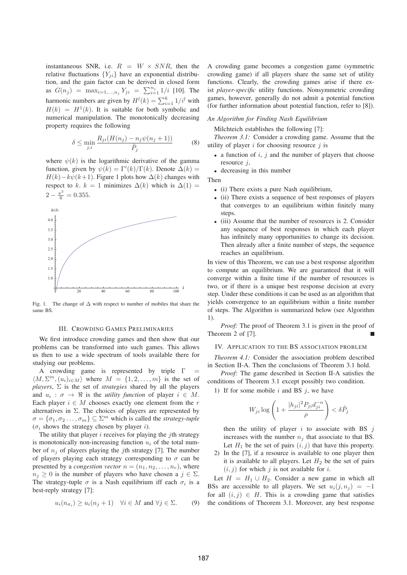instantaneous SNR, i.e.  $R = W \times SNR$ , then the relative fluctuations  ${Y_{ii}}$  have an exponential distribution, and the gain factor can be derived in closed form as  $G(n_j) = \max_{i=1,...,n_j} Y_{ji} = \sum_{i=1}^{n_j} 1/i$  [10]. The harmonic numbers are given by  $H^l(k) = \sum_{i=1}^k 1/i^l$  with  $H(k) = H<sup>1</sup>(k)$ . It is suitable for both symbolic and numerical manipulation. The monotonically decreasing property requires the following

$$
\delta \le \min_{j,i} \frac{R_{ji}(H(n_j) - n_j \psi(n_j + 1))}{\tilde{P}_j} \tag{8}
$$

where  $\psi(k)$  is the logarithmic derivative of the gamma function, given by  $\psi(k) = \Gamma'(k)/\Gamma(k)$ . Denote  $\Delta(k) =$  $H(k) - k\psi(k+1)$ . Figure 1 plots how  $\Delta(k)$  changes with respect to k. k = 1 minimizes  $\Delta(k)$  which is  $\Delta(1)$  =  $2 - \frac{\pi^2}{6} = 0.355.$ 



Fig. 1. The change of ∆ with respect to number of mobiles that share the same BS

#### III. CROWDING GAMES PRELIMINARIES

We first introduce crowding games and then show that our problems can be transformed into such games. This allows us then to use a wide spectrum of tools available there for studying our problems.

A crowding game is represented by triple  $\Gamma$  $\langle M, \Sigma^m, (u_i)_{i \in M} \rangle$  where  $M = \{1, 2, \ldots, m\}$  is the set of *players*,  $\Sigma$  is the set of *strategies* shared by all the players and  $u_i$ :  $\sigma \to \Re$  is the *utility function* of player  $i \in M$ . Each player  $i \in M$  chooses exactly one element from the r alternatives in  $\Sigma$ . The choices of players are represented by  $\sigma = {\sigma_1, \sigma_2 \dots, \sigma_m} \subseteq \Sigma^m$  which is called the *strategy-tuple* ( $\sigma_i$  shows the strategy chosen by player *i*).

The utility that player  $i$  receives for playing the  $j$ th strategy is monotonically non-increasing function  $u_i$  of the total number of  $n_i$  of players playing the *j*th strategy [7]. The number of players playing each strategy corresponding to  $\sigma$  can be presented by a *congestion vector*  $n = (n_1, n_2, \ldots, n_r)$ , where  $n_j \geq 0$  is the number of players who have chosen a  $j \in \Sigma$ . The strategy-tuple  $\sigma$  is a Nash equilibrium iff each  $\sigma_i$  is a best-reply strategy [7]:

$$
u_i(n_{\sigma_i}) \ge u_i(n_j + 1) \quad \forall i \in M \text{ and } \forall j \in \Sigma. \tag{9}
$$

A crowding game becomes a congestion game (symmetric crowding game) if all players share the same set of utility functions. Clearly, the crowding games arise if there exist *player-specific* utility functions. Nonsymmetric crowding games, however, generally do not admit a potential function (for further information about potential function, refer to [8]).

#### *An Algorithm for Finding Nash Equilibrium*

Milchteich establishes the following [7]:

*Theorem 3.1:* Consider a crowding game. Assume that the utility of player  $i$  for choosing resource  $j$  is

- a function of  $i$ ,  $j$  and the number of players that choose resource  $i$ ,
- decreasing in this number

Then

- (i) There exists a pure Nash equilibrium,
- (ii) There exists a sequence of best responses of players that converges to an equilibrium within finitely many steps.
- (iii) Assume that the number of resources is 2. Consider any sequence of best responses in which each player has infinitely many opportunities to change its decision. Then already after a finite number of steps, the sequence reaches an equilibrium.

In view of this Theorem, we can use a best response algorithm to compute an equilibrium. We are guaranteed that it will converge within a finite time if the number of resources is two, or if there is a unique best response decision at every step. Under these conditions it can be used as an algorithm that yields convergence to an equilibrium within a finite number of steps. The Algorithm is summarized below (see Algorithm 1).

*Proof:* The proof of Theorem 3.1 is given in the proof of Theorem 2 of [7].

## IV. APPLICATION TO THE BS ASSOCIATION PROBLEM

*Theorem 4.1:* Consider the association problem described in Section II-A. Then the conclusions of Theorem 3.1 hold.

*Proof:* The game described in Section II-A satisfies the conditions of Theorem 3.1 except possibly two condition.

1) If for some mobile  $i$  and BS  $j$ , we have

$$
W_{ji}\log\left(1+\frac{|h_{ji}|^2P_{ji}d_{ji}^{-\alpha}}{\rho}\right)<\delta\tilde{P}_j
$$

then the utility of player  $i$  to associate with BS  $j$ increases with the number  $n_i$  that associate to that BS. Let  $H_1$  be the set of pairs  $(i, j)$  that have this property.

2) In the [7], if a resource is available to one player then it is available to all players. Let  $H_2$  be the set of pairs  $(i, j)$  for which j is not available for i.

Let  $H = H_1 \cup H_2$ . Consider a new game in which all BSs are accessible to all players. We set  $u_i(i, n_i) = -1$ for all  $(i, j) \in H$ . This is a crowding game that satisfies the conditions of Theorem 3.1. Moreover, any best response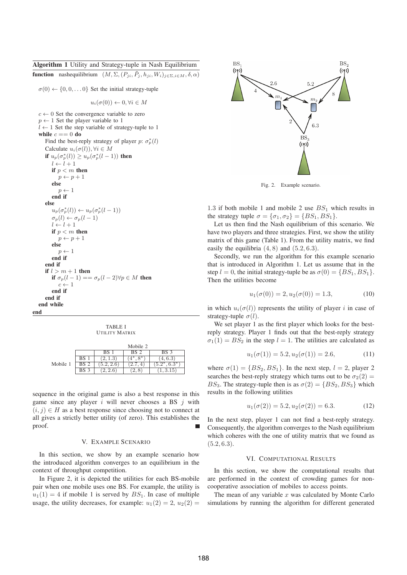## Algorithm 1 Utility and Strategy-tuple in Nash Equilibrium

**function** nashequilibrium  $(M, \Sigma, (P_{ji}, \tilde{P}_i, h_{ji}, W_i)_{i \in \Sigma, i \in M}, \delta, \alpha)$ 

 $\sigma(0) \leftarrow \{0, 0, \ldots 0\}$  Set the initial strategy-tuple

$$
u_i(\sigma(0)) \leftarrow 0, \forall i \in M
$$

 $c \leftarrow 0$  Set the convergence variable to zero  $p \leftarrow 1$  Set the player variable to 1  $l \leftarrow 1$  Set the step variable of strategy-tuple to 1 while  $c == 0$  do Find the best-reply strategy of player  $p: \sigma_p^*(l)$ Calculate  $u_i(\sigma(l))$ ,  $\forall i \in M$ if  $u_p(\sigma_p^*(l)) \ge u_p(\sigma_p^*(l-1))$  then  $l \leftarrow l + 1$ if  $p < m$  then  $p \leftarrow p + 1$ else  $p \leftarrow 1$ end if else  $u_p(\sigma_p^*(l)) \leftarrow u_p(\sigma_p^*(l-1))$  $\sigma_p(l) \leftarrow \sigma_p(l-1)$  $l \leftarrow l + 1$ if  $p < m$  then  $p \leftarrow p + 1$ else  $p \leftarrow 1$ end if end if if  $l > m + 1$  then if  $\sigma_p(l-1) == \sigma_p(l-2) \forall p \in M$  then  $c \leftarrow 1$ end if end if end while

end

TABLE I UTILITY MATRIX

|          |      |     | Mobile 2 |                  |
|----------|------|-----|----------|------------------|
|          |      | BS  | BS 2     | BS 3             |
|          | BS   |     | $8*$     | 4,6.3            |
| Mobile 1 | BS 2 | 2.6 |          | $6.3*$<br>$5.2*$ |
|          | BS 3 | 2.6 | 2.8      | 1,3.15           |

sequence in the original game is also a best response in this game since any player i will never chooses a BS  $i$  with  $(i, j) \in H$  as a best response since choosing not to connect at all gives a strictly better utility (of zero). This establishes the proof. Г

#### V. EXAMPLE SCENARIO

In this section, we show by an example scenario how the introduced algorithm converges to an equilibrium in the context of throughput competition.

In Figure 2, it is depicted the utilities for each BS-mobile pair when one mobile uses one BS. For example, the utility is  $u_1(1) = 4$  if mobile 1 is served by  $BS_1$ . In case of multiple usage, the utility decreases, for example:  $u_1(2) = 2$ ,  $u_2(2) =$ 



Fig. 2. Example scenario.

1.3 if both mobile 1 and mobile 2 use  $BS_1$  which results in the strategy tuple  $\sigma = {\sigma_1, \sigma_2} = {BS_1, BS_1}.$ 

Let us then find the Nash equilibrium of this scenario. We have two players and three strategies. First, we show the utility matrix of this game (Table 1). From the utility matrix, we find easily the equilibria  $(4, 8)$  and  $(5.2, 6.3)$ .

Secondly, we run the algorithm for this example scenario that is introduced in Algorithm 1. Let us assume that in the step  $l = 0$ , the initial strategy-tuple be as  $\sigma(0) = \{BS_1, BS_1\}.$ Then the utilities become

$$
u_1(\sigma(0)) = 2, u_2(\sigma(0)) = 1.3,
$$
\n(10)

in which  $u_i(\sigma(l))$  represents the utility of player i in case of strategy-tuple  $\sigma(l)$ .

We set player 1 as the first player which looks for the bestreply strategy. Player 1 finds out that the best-reply strategy  $\sigma_1(1) = BS_2$  in the step  $l = 1$ . The utilities are calculated as

$$
u_1(\sigma(1)) = 5.2, u_2(\sigma(1)) = 2.6,
$$
 (11)

where  $\sigma(1) = \{BS_2, BS_1\}$ . In the next step,  $l = 2$ , player 2 searches the best-reply strategy which turns out to be  $\sigma_2(2)$  = BS<sub>3</sub>. The strategy-tuple then is as  $\sigma(2) = \{BS_2, BS_3\}$  which results in the following utilities

$$
u_1(\sigma(2)) = 5.2, u_2(\sigma(2)) = 6.3.
$$
 (12)

In the next step, player 1 can not find a best-reply strategy. Consequently, the algorithm converges to the Nash equilibrium which coheres with the one of utility matrix that we found as  $(5.2, 6.3).$ 

#### VI. COMPUTATIONAL RESULTS

In this section, we show the computational results that are performed in the context of crowding games for noncooperative association of mobiles to access points.

The mean of any variable  $x$  was calculated by Monte Carlo simulations by running the algorithm for different generated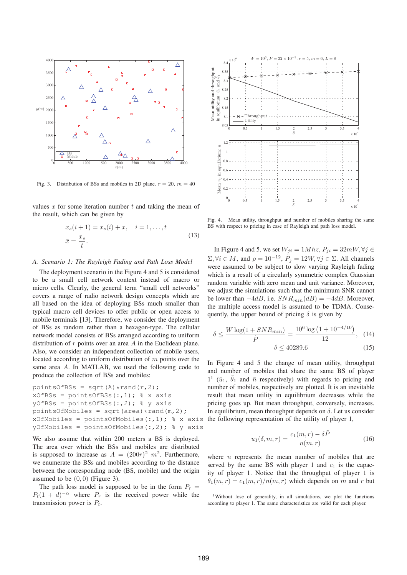

Fig. 3. Distribution of BSs and mobiles in 2D plane.  $r = 20$ ,  $m = 40$ 

values x for some iteration number t and taking the mean of the result, which can be given by

$$
x_s(i + 1) = x_s(i) + x, \quad i = 1, ..., t
$$
  

$$
\bar{x} = \frac{x_s}{t}.
$$
 (13)

#### *A. Scenario 1: The Rayleigh Fading and Path Loss Model*

The deployment scenario in the Figure 4 and 5 is considered to be a small cell network context instead of macro or micro cells. Clearly, the general term "small cell networks" covers a range of radio network design concepts which are all based on the idea of deploying BSs much smaller than typical macro cell devices to offer public or open access to mobile terminals [13]. Therefore, we consider the deployment of BSs as random rather than a hexagon-type. The cellular network model consists of BSs arranged according to uniform distribution of  $r$  points over an area  $A$  in the Euclidean plane. Also, we consider an independent collection of mobile users, located according to uniform distribution of m points over the same area A. In MATLAB, we used the following code to produce the collection of BSs and mobiles:

```
pointsOfBSs = sqrt(A) *rand(r, 2);
xOf BSS = pointsOf BSS(:, 1); % x axisyOfBSs = pointsOfBSs(:,2); % y axispointsOfMobiles = sqrt(area) *rand(m, 2);
xOfMobiles = pointsOfMobiles(:, 1); % x axis
yOfMobiles = pointsOfMobiles(:,2); % y axis
```
We also assume that within 200 meters a BS is deployed. The area over which the BSs and mobiles are distributed is supposed to increase as  $A = (200r)^2 m^2$ . Furthermore, we enumerate the BSs and mobiles according to the distance between the corresponding node (BS, mobile) and the origin assumed to be  $(0, 0)$  (Figure 3).

The path loss model is supposed to be in the form  $P_r =$  $P_t(1 + d)^{-\alpha}$  where  $P_r$  is the received power while the transmission power is  $P_t$ .



Fig. 4. Mean utility, throughput and number of mobiles sharing the same BS with respect to pricing in case of Rayleigh and path loss model.

In Figure 4 and 5, we set  $W_{ji} = 1Mhz$ ,  $P_{ji} = 32mW$ ,  $\forall j \in$  $\Sigma, \forall i \in M$ , and  $\rho = 10^{-12}$ ,  $\tilde{P}_j = 12W, \forall j \in \Sigma$ . All channels were assumed to be subject to slow varying Rayleigh fading which is a result of a circularly symmetric complex Gaussian random variable with zero mean and unit variance. Moreover, we adjust the simulations such that the minimum SNR cannot be lower than  $-4dB$ , i.e.  $SNR_{min}(dB) = -4dB$ . Moreover, the multiple access model is assumed to be TDMA. Consequently, the upper bound of pricing  $\delta$  is given by

$$
\delta \le \frac{W \log(1 + SNR_{min})}{\tilde{P}} = \frac{10^6 \log \left(1 + 10^{-4/10}\right)}{12}, \quad (14)
$$

$$
\delta \le 40289.6 \tag{15}
$$

In Figure 4 and 5 the change of mean utility, throughput and number of mobiles that share the same BS of player  $1^1$  ( $\bar{u}_1$ ,  $\bar{\theta}_1$  and  $\bar{n}$  respectively) with regards to pricing and number of mobiles, respectively are plotted. It is an inevitable result that mean utility in equilibrium decreases while the pricing goes up. But mean throughput, conversely, increases. In equilibrium, mean throughput depends on  $\delta$ . Let us consider the following representation of the utility of player 1,

$$
u_1(\delta, m, r) = \frac{c_1(m, r) - \delta \tilde{P}}{n(m, r)}
$$
(16)

where  $n$  represents the mean number of mobiles that are served by the same BS with player 1 and  $c_1$  is the capacity of player 1. Notice that the throughput of player 1 is  $\theta_1(m, r) = c_1(m, r)/n(m, r)$  which depends on m and r but

<sup>1</sup>Without lose of generality, in all simulations, we plot the functions according to player 1. The same characteristics are valid for each player.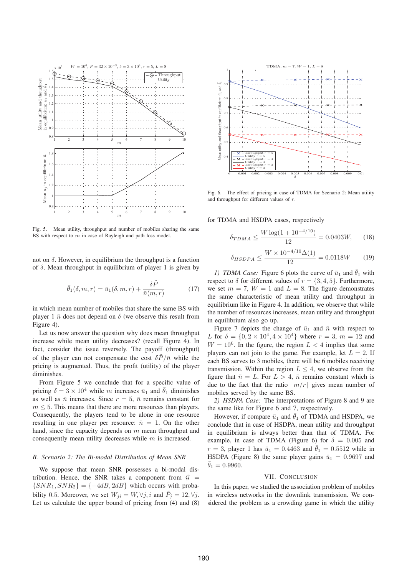

Fig. 5. Mean utility, throughput and number of mobiles sharing the same BS with respect to  $m$  in case of Rayleigh and path loss model.

not on  $\delta$ . However, in equilibrium the throughput is a function of  $\delta$ . Mean throughput in equilibrium of player 1 is given by

$$
\bar{\theta}_1(\delta, m, r) = \bar{u}_1(\delta, m, r) + \frac{\delta \tilde{P}}{\bar{n}(m, r)}
$$
(17)

in which mean number of mobiles that share the same BS with player 1  $\bar{n}$  does not depend on  $\delta$  (we observe this result from Figure 4).

Let us now answer the question why does mean throughput increase while mean utility decreases? (recall Figure 4). In fact, consider the issue reversely. The payoff (throughput) of the player can not compensate the cost  $\delta \tilde{P}/\bar{n}$  while the pricing is augmented. Thus, the profit (utility) of the player diminishes.

From Figure 5 we conclude that for a specific value of pricing  $\delta = 3 \times 10^4$  while m increases  $\bar{u}_1$  and  $\bar{\theta}_1$  diminishes as well as  $\bar{n}$  increases. Since  $r = 5$ ,  $\bar{n}$  remains constant for  $m \leq 5$ . This means that there are more resources than players. Consequently, the players tend to be alone in one resource resulting in one player per resource:  $\bar{n} = 1$ . On the other hand, since the capacity depends on  $m$  mean throughput and consequently mean utility decreases while m is increased.

#### *B. Scenario 2: The Bi-modal Distribution of Mean SNR*

We suppose that mean SNR possesses a bi-modal distribution. Hence, the SNR takes a component from  $\mathcal{G}$  =  $\{SNR_1, SNR_2\} = \{-4dB, 2dB\}$  which occurs with probability 0.5. Moreover, we set  $W_{ji} = W, \forall j, i$  and  $\tilde{P}_j = 12, \forall j$ . Let us calculate the upper bound of pricing from (4) and (8)



Fig. 6. The effect of pricing in case of TDMA for Scenario 2: Mean utility and throughput for different values of  $r$ .

for TDMA and HSDPA cases, respectively

$$
\delta_{TDMA} \le \frac{W \log(1 + 10^{-4/10})}{12} = 0.0403W, \quad (18)
$$

$$
\delta_{HSDPA} \le \frac{W \times 10^{-4/10} \Delta(1)}{12} = 0.0118W \tag{19}
$$

*1) TDMA Case:* Figure 6 plots the curve of  $\bar{u}_1$  and  $\bar{\theta}_1$  with respect to  $\delta$  for different values of  $r = \{3, 4, 5\}$ . Furthermore, we set  $m = 7$ ,  $W = 1$  and  $L = 8$ . The figure demonstrates the same characteristic of mean utility and throughput in equilibrium like in Figure 4. In addition, we observe that while the number of resources increases, mean utility and throughput in equilibrium also go up.

Figure 7 depicts the change of  $\bar{u}_1$  and  $\bar{n}$  with respect to L for  $\delta = \{0, 2 \times 10^4, 4 \times 10^4\}$  where  $r = 3$ ,  $m = 12$  and  $W = 10^6$ . In the figure, the region  $L < 4$  implies that some players can not join to the game. For example, let  $L = 2$ . If each BS serves to 3 mobiles, there will be 6 mobiles receiving transmission. Within the region  $L \leq 4$ , we observe from the figure that  $\bar{n} = L$ . For  $L > 4$ ,  $\bar{n}$  remains constant which is due to the fact that the ratio  $\lceil m/r \rceil$  gives mean number of mobiles served by the same BS.

*2) HSDPA Case:* The interpretations of Figure 8 and 9 are the same like for Figure 6 and 7, respectively.

However, if compare  $\bar{u}_1$  and  $\bar{\theta}_1$  of TDMA and HSDPA, we conclude that in case of HSDPA, mean utility and throughput in equilibrium is always better than that of TDMA. For example, in case of TDMA (Figure 6) for  $\delta = 0.005$  and  $r = 3$ , player 1 has  $\bar{u}_1 = 0.4463$  and  $\bar{\theta}_1 = 0.5512$  while in HSDPA (Figure 8) the same player gains  $\bar{u}_1 = 0.9697$  and  $\theta_1 = 0.9960.$ 

#### VII. CONCLUSION

In this paper, we studied the association problem of mobiles in wireless networks in the downlink transmission. We considered the problem as a crowding game in which the utility